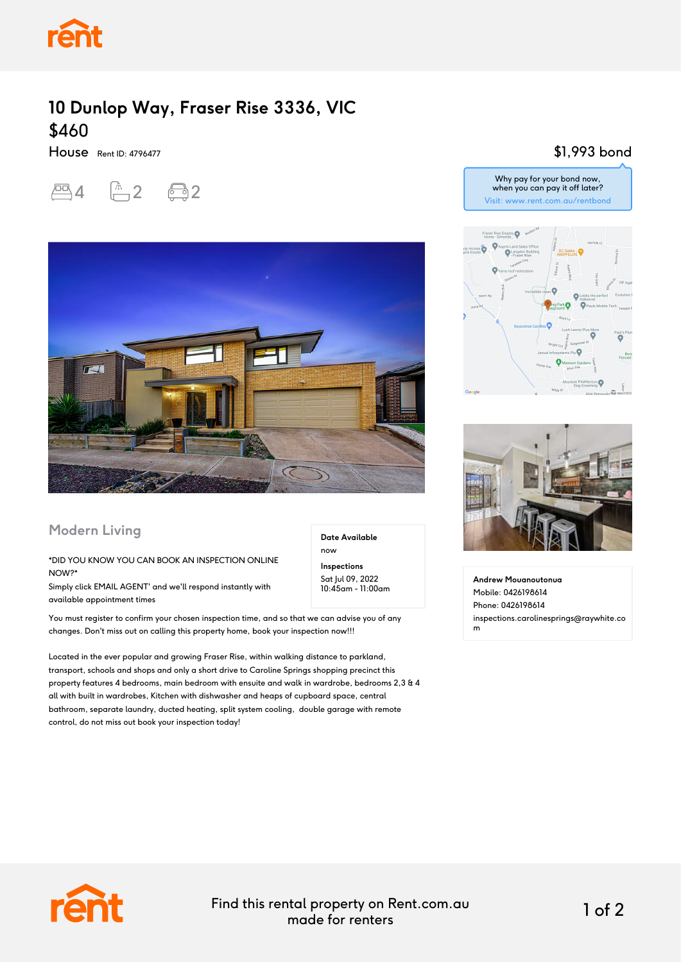

## **10 Dunlop Way, Fraser Rise 3336, VIC** \$460

House Rent ID: 4796477

四4 面2 图2



## **Modern Living**

## \*DID YOU KNOW YOU CAN BOOK AN INSPECTION ONLINE NOW?\*

Simply click EMAIL AGENT' and we'll respond instantly with available appointment times

You must register to confirm your chosen inspection time, and so that we can advise you of any changes. Don't miss out on calling this property home, book your inspection now!!!

Located in the ever popular and growing Fraser Rise, within walking distance to parkland, transport, schools and shops and only a short drive to Caroline Springs shopping precinct this property features 4 bedrooms, main bedroom with ensuite and walk in wardrobe, bedrooms 2,3 & 4 all with built in wardrobes, Kitchen with dishwasher and heaps of cupboard space, central bathroom, separate laundry, ducted heating, split system cooling, double garage with remote control, do not miss out book your inspection today!

\$1,993 bond



Why pay for your bond now,



**Andrew Mouanoutonua** Mobile: 0426198614 Phone: 0426198614 inspections.carolinesprings@raywhite.co m



Find this rental property on Rent.com.au made for renters 1 of 2

**Date Available**

now **Inspections** Sat Jul 09, 2022 10:45am - 11:00am